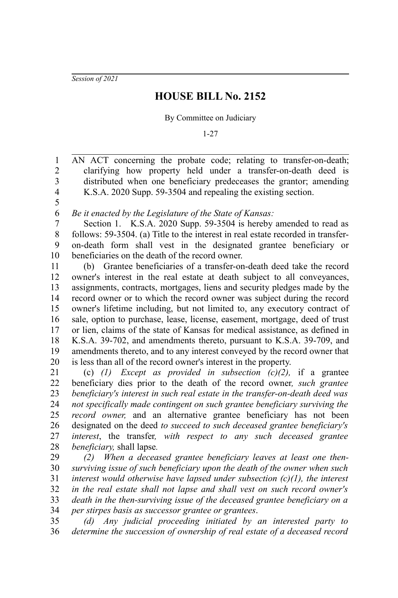*Session of 2021*

## **HOUSE BILL No. 2152**

By Committee on Judiciary

1-27

AN ACT concerning the probate code; relating to transfer-on-death; clarifying how property held under a transfer-on-death deed is distributed when one beneficiary predeceases the grantor; amending K.S.A. 2020 Supp. 59-3504 and repealing the existing section. 2 3 4

5 6

1

*Be it enacted by the Legislature of the State of Kansas:*

Section 1. K.S.A. 2020 Supp. 59-3504 is hereby amended to read as follows: 59-3504. (a) Title to the interest in real estate recorded in transferon-death form shall vest in the designated grantee beneficiary or beneficiaries on the death of the record owner. 7 8 9 10

(b) Grantee beneficiaries of a transfer-on-death deed take the record owner's interest in the real estate at death subject to all conveyances, assignments, contracts, mortgages, liens and security pledges made by the record owner or to which the record owner was subject during the record owner's lifetime including, but not limited to, any executory contract of sale, option to purchase, lease, license, easement, mortgage, deed of trust or lien, claims of the state of Kansas for medical assistance, as defined in K.S.A. 39-702, and amendments thereto, pursuant to K.S.A. 39-709, and amendments thereto, and to any interest conveyed by the record owner that is less than all of the record owner's interest in the property. 11 12 13 14 15 16 17 18 19 20

(c) *(1) Except as provided in subsection (c)(2),* if a grantee beneficiary dies prior to the death of the record owner*, such grantee beneficiary's interest in such real estate in the transfer-on-death deed was not specifically made contingent on such grantee beneficiary surviving the record owner,* and an alternative grantee beneficiary has not been designated on the deed *to succeed to such deceased grantee beneficiary's interest*, the transfer*, with respect to any such deceased grantee beneficiary,* shall lapse*.* 21 22 23 24 25 26 27 28

*(2) When a deceased grantee beneficiary leaves at least one thensurviving issue of such beneficiary upon the death of the owner when such interest would otherwise have lapsed under subsection (c)(1), the interest in the real estate shall not lapse and shall vest on such record owner's death in the then-surviving issue of the deceased grantee beneficiary on a per stirpes basis as successor grantee or grantees*. 29 30 31 32 33 34

*(d) Any judicial proceeding initiated by an interested party to determine the succession of ownership of real estate of a deceased record* 35 36